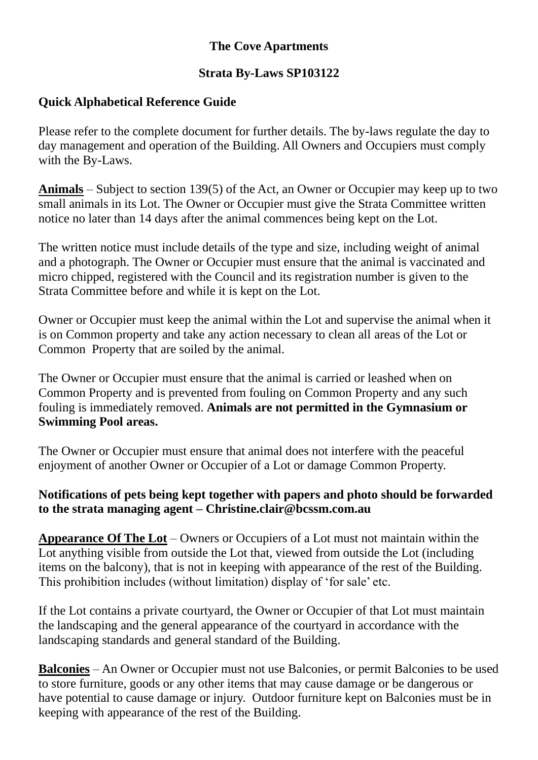# **The Cove Apartments**

## **Strata By-Laws SP103122**

# **Quick Alphabetical Reference Guide**

Please refer to the complete document for further details. The by-laws regulate the day to day management and operation of the Building. All Owners and Occupiers must comply with the By-Laws.

**Animals** – Subject to section 139(5) of the Act, an Owner or Occupier may keep up to two small animals in its Lot. The Owner or Occupier must give the Strata Committee written notice no later than 14 days after the animal commences being kept on the Lot.

The written notice must include details of the type and size, including weight of animal and a photograph. The Owner or Occupier must ensure that the animal is vaccinated and micro chipped, registered with the Council and its registration number is given to the Strata Committee before and while it is kept on the Lot.

Owner or Occupier must keep the animal within the Lot and supervise the animal when it is on Common property and take any action necessary to clean all areas of the Lot or Common Property that are soiled by the animal.

The Owner or Occupier must ensure that the animal is carried or leashed when on Common Property and is prevented from fouling on Common Property and any such fouling is immediately removed. **Animals are not permitted in the Gymnasium or Swimming Pool areas.**

The Owner or Occupier must ensure that animal does not interfere with the peaceful enjoyment of another Owner or Occupier of a Lot or damage Common Property.

#### **Notifications of pets being kept together with papers and photo should be forwarded to the strata managing agent – Christine.clair@bcssm.com.au**

**Appearance Of The Lot** – Owners or Occupiers of a Lot must not maintain within the Lot anything visible from outside the Lot that, viewed from outside the Lot (including items on the balcony), that is not in keeping with appearance of the rest of the Building. This prohibition includes (without limitation) display of 'for sale' etc.

If the Lot contains a private courtyard, the Owner or Occupier of that Lot must maintain the landscaping and the general appearance of the courtyard in accordance with the landscaping standards and general standard of the Building.

**Balconies** – An Owner or Occupier must not use Balconies, or permit Balconies to be used to store furniture, goods or any other items that may cause damage or be dangerous or have potential to cause damage or injury. Outdoor furniture kept on Balconies must be in keeping with appearance of the rest of the Building.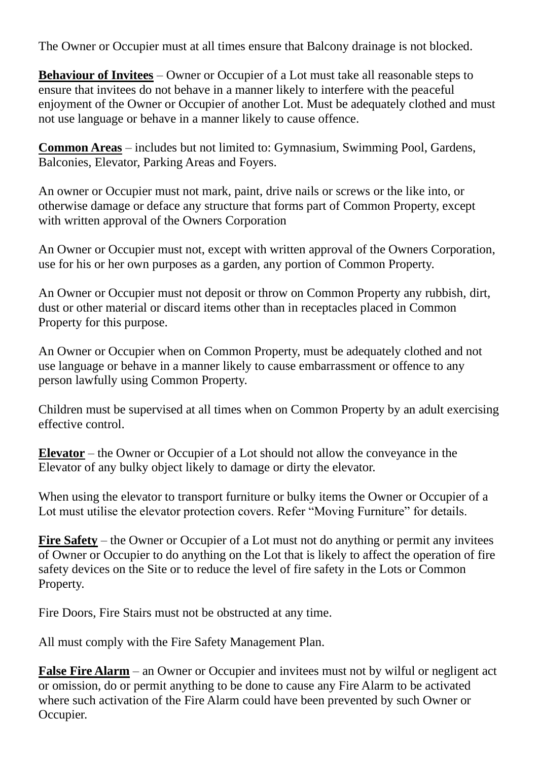The Owner or Occupier must at all times ensure that Balcony drainage is not blocked.

**Behaviour of Invitees** – Owner or Occupier of a Lot must take all reasonable steps to ensure that invitees do not behave in a manner likely to interfere with the peaceful enjoyment of the Owner or Occupier of another Lot. Must be adequately clothed and must not use language or behave in a manner likely to cause offence.

**Common Areas** – includes but not limited to: Gymnasium, Swimming Pool, Gardens, Balconies, Elevator, Parking Areas and Foyers.

An owner or Occupier must not mark, paint, drive nails or screws or the like into, or otherwise damage or deface any structure that forms part of Common Property, except with written approval of the Owners Corporation

An Owner or Occupier must not, except with written approval of the Owners Corporation, use for his or her own purposes as a garden, any portion of Common Property.

An Owner or Occupier must not deposit or throw on Common Property any rubbish, dirt, dust or other material or discard items other than in receptacles placed in Common Property for this purpose.

An Owner or Occupier when on Common Property, must be adequately clothed and not use language or behave in a manner likely to cause embarrassment or offence to any person lawfully using Common Property.

Children must be supervised at all times when on Common Property by an adult exercising effective control.

**Elevator** – the Owner or Occupier of a Lot should not allow the conveyance in the Elevator of any bulky object likely to damage or dirty the elevator.

When using the elevator to transport furniture or bulky items the Owner or Occupier of a Lot must utilise the elevator protection covers. Refer "Moving Furniture" for details.

**Fire Safety** – the Owner or Occupier of a Lot must not do anything or permit any invitees of Owner or Occupier to do anything on the Lot that is likely to affect the operation of fire safety devices on the Site or to reduce the level of fire safety in the Lots or Common Property.

Fire Doors, Fire Stairs must not be obstructed at any time.

All must comply with the Fire Safety Management Plan.

**False Fire Alarm** – an Owner or Occupier and invitees must not by wilful or negligent act or omission, do or permit anything to be done to cause any Fire Alarm to be activated where such activation of the Fire Alarm could have been prevented by such Owner or Occupier.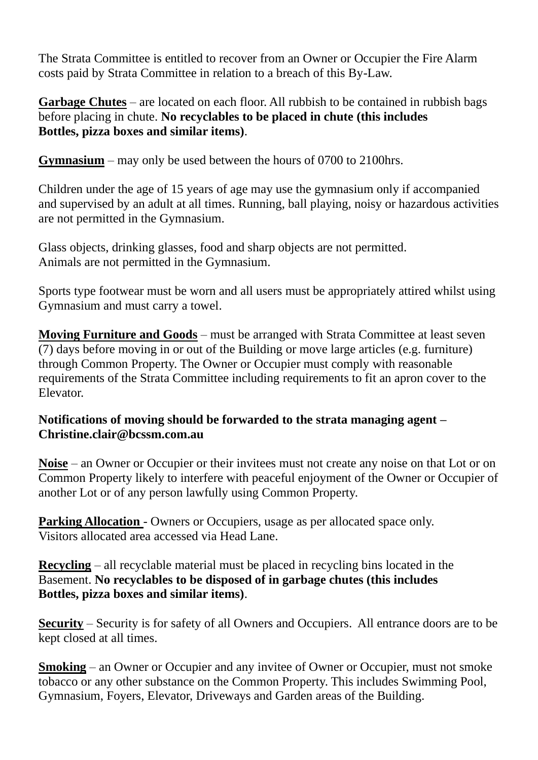The Strata Committee is entitled to recover from an Owner or Occupier the Fire Alarm costs paid by Strata Committee in relation to a breach of this By-Law.

**Garbage Chutes** – are located on each floor. All rubbish to be contained in rubbish bags before placing in chute. **No recyclables to be placed in chute (this includes Bottles, pizza boxes and similar items)**.

**Gymnasium** – may only be used between the hours of 0700 to 2100hrs.

Children under the age of 15 years of age may use the gymnasium only if accompanied and supervised by an adult at all times. Running, ball playing, noisy or hazardous activities are not permitted in the Gymnasium.

Glass objects, drinking glasses, food and sharp objects are not permitted. Animals are not permitted in the Gymnasium.

Sports type footwear must be worn and all users must be appropriately attired whilst using Gymnasium and must carry a towel.

**Moving Furniture and Goods** – must be arranged with Strata Committee at least seven (7) days before moving in or out of the Building or move large articles (e.g. furniture) through Common Property. The Owner or Occupier must comply with reasonable requirements of the Strata Committee including requirements to fit an apron cover to the Elevator.

# **Notifications of moving should be forwarded to the strata managing agent – Christine.clair@bcssm.com.au**

**Noise** – an Owner or Occupier or their invitees must not create any noise on that Lot or on Common Property likely to interfere with peaceful enjoyment of the Owner or Occupier of another Lot or of any person lawfully using Common Property.

**Parking Allocation** - Owners or Occupiers, usage as per allocated space only. Visitors allocated area accessed via Head Lane.

**Recycling** – all recyclable material must be placed in recycling bins located in the Basement. **No recyclables to be disposed of in garbage chutes (this includes Bottles, pizza boxes and similar items)**.

**Security** – Security is for safety of all Owners and Occupiers. All entrance doors are to be kept closed at all times.

**Smoking** – an Owner or Occupier and any invitee of Owner or Occupier, must not smoke tobacco or any other substance on the Common Property. This includes Swimming Pool, Gymnasium, Foyers, Elevator, Driveways and Garden areas of the Building.